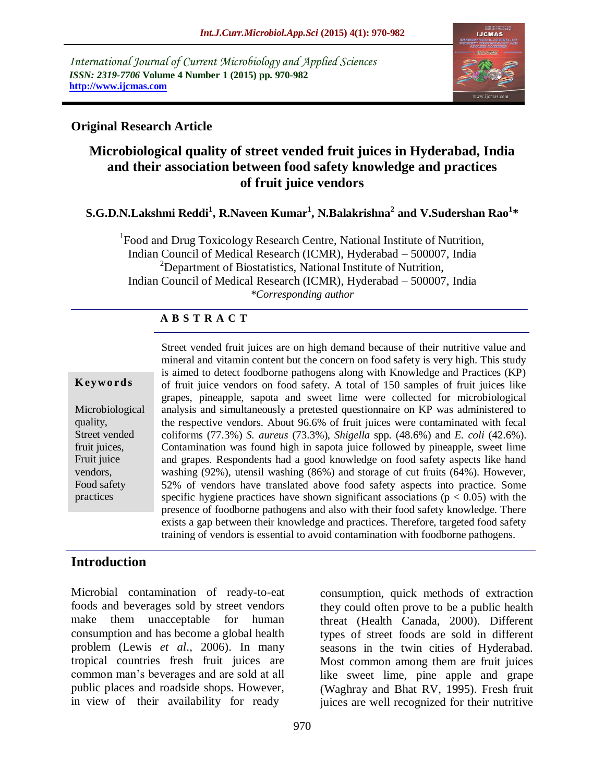*International Journal of Current Microbiology and Applied Sciences ISSN: 2319-7706* **Volume 4 Number 1 (2015) pp. 970-982 http://www.ijcmas.com** 



### **Original Research Article**

# **Microbiological quality of street vended fruit juices in Hyderabad, India and their association between food safety knowledge and practices of fruit juice vendors**

### **S.G.D.N.Lakshmi Reddi<sup>1</sup> , R.Naveen Kumar<sup>1</sup> , N.Balakrishna<sup>2</sup> and V.Sudershan Rao<sup>1</sup> \***

<sup>1</sup>Food and Drug Toxicology Research Centre, National Institute of Nutrition, Indian Council of Medical Research (ICMR), Hyderabad – 500007, India <sup>2</sup>Department of Biostatistics, National Institute of Nutrition, Indian Council of Medical Research (ICMR), Hyderabad – 500007, India *\*Corresponding author*

#### **A B S T R A C T**

#### **K ey w o rd s**

Microbiological quality, Street vended fruit juices, Fruit juice vendors, Food safety practices

Street vended fruit juices are on high demand because of their nutritive value and mineral and vitamin content but the concern on food safety is very high. This study is aimed to detect foodborne pathogens along with Knowledge and Practices (KP) of fruit juice vendors on food safety. A total of 150 samples of fruit juices like grapes, pineapple, sapota and sweet lime were collected for microbiological analysis and simultaneously a pretested questionnaire on KP was administered to the respective vendors. About 96.6% of fruit juices were contaminated with fecal coliforms (77.3%) *S. aureus* (73.3%), *Shigella* spp. (48.6%) and *E. coli* (42.6%). Contamination was found high in sapota juice followed by pineapple, sweet lime and grapes. Respondents had a good knowledge on food safety aspects like hand washing (92%), utensil washing (86%) and storage of cut fruits (64%). However, 52% of vendors have translated above food safety aspects into practice. Some specific hygiene practices have shown significant associations ( $p < 0.05$ ) with the presence of foodborne pathogens and also with their food safety knowledge. There exists a gap between their knowledge and practices. Therefore, targeted food safety training of vendors is essential to avoid contamination with foodborne pathogens.

# **Introduction**

Microbial contamination of ready-to-eat foods and beverages sold by street vendors make them unacceptable for human consumption and has become a global health problem (Lewis *et al*., 2006). In many tropical countries fresh fruit juices are common man's beverages and are sold at all public places and roadside shops. However, in view of their availability for ready

consumption, quick methods of extraction they could often prove to be a public health threat (Health Canada, 2000). Different types of street foods are sold in different seasons in the twin cities of Hyderabad. Most common among them are fruit juices like sweet lime, pine apple and grape (Waghray and Bhat RV, 1995). Fresh fruit juices are well recognized for their nutritive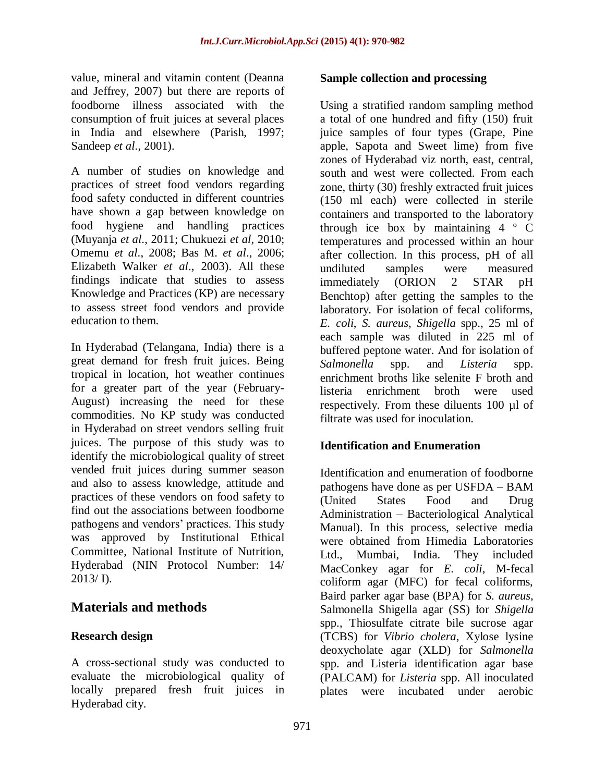value, mineral and vitamin content (Deanna and Jeffrey, 2007) but there are reports of foodborne illness associated with the consumption of fruit juices at several places in India and elsewhere (Parish, 1997; Sandeep *et al*., 2001).

A number of studies on knowledge and practices of street food vendors regarding food safety conducted in different countries have shown a gap between knowledge on food hygiene and handling practices (Muyanja *et al*., 2011; Chukuezi *et al*, 2010; Omemu *et al*., 2008; Bas M. *et al*., 2006; Elizabeth Walker *et al*., 2003). All these findings indicate that studies to assess Knowledge and Practices (KP) are necessary to assess street food vendors and provide education to them.

In Hyderabad (Telangana, India) there is a great demand for fresh fruit juices. Being tropical in location, hot weather continues for a greater part of the year (February-August) increasing the need for these commodities. No KP study was conducted in Hyderabad on street vendors selling fruit juices. The purpose of this study was to identify the microbiological quality of street vended fruit juices during summer season and also to assess knowledge, attitude and practices of these vendors on food safety to find out the associations between foodborne pathogens and vendors' practices. This study was approved by Institutional Ethical Committee, National Institute of Nutrition, Hyderabad (NIN Protocol Number: 14/ 2013/ I).

# **Materials and methods**

# **Research design**

A cross-sectional study was conducted to evaluate the microbiological quality of locally prepared fresh fruit juices in Hyderabad city.

### **Sample collection and processing**

Using a stratified random sampling method a total of one hundred and fifty (150) fruit juice samples of four types (Grape, Pine apple, Sapota and Sweet lime) from five zones of Hyderabad viz north, east, central, south and west were collected. From each zone, thirty (30) freshly extracted fruit juices (150 ml each) were collected in sterile containers and transported to the laboratory through ice box by maintaining  $4 \circ C$ temperatures and processed within an hour after collection. In this process, pH of all undiluted samples were measured immediately (ORION 2 STAR pH Benchtop) after getting the samples to the laboratory. For isolation of fecal coliforms, *E. coli*, *S. aureus*, *Shigella* spp., 25 ml of each sample was diluted in 225 ml of buffered peptone water. And for isolation of *Salmonella* spp. and *Listeria* spp. enrichment broths like selenite F broth and listeria enrichment broth were used respectively. From these diluents 100 µl of filtrate was used for inoculation.

# **Identification and Enumeration**

Identification and enumeration of foodborne pathogens have done as per USFDA – BAM (United States Food and Drug Administration – Bacteriological Analytical Manual). In this process, selective media were obtained from Himedia Laboratories Ltd., Mumbai, India. They included MacConkey agar for *E. coli*, M-fecal coliform agar (MFC) for fecal coliforms, Baird parker agar base (BPA) for *S. aureus*, Salmonella Shigella agar (SS) for *Shigella* spp., Thiosulfate citrate bile sucrose agar (TCBS) for *Vibrio cholera*, Xylose lysine deoxycholate agar (XLD) for *Salmonella* spp. and Listeria identification agar base (PALCAM) for *Listeria* spp. All inoculated plates were incubated under aerobic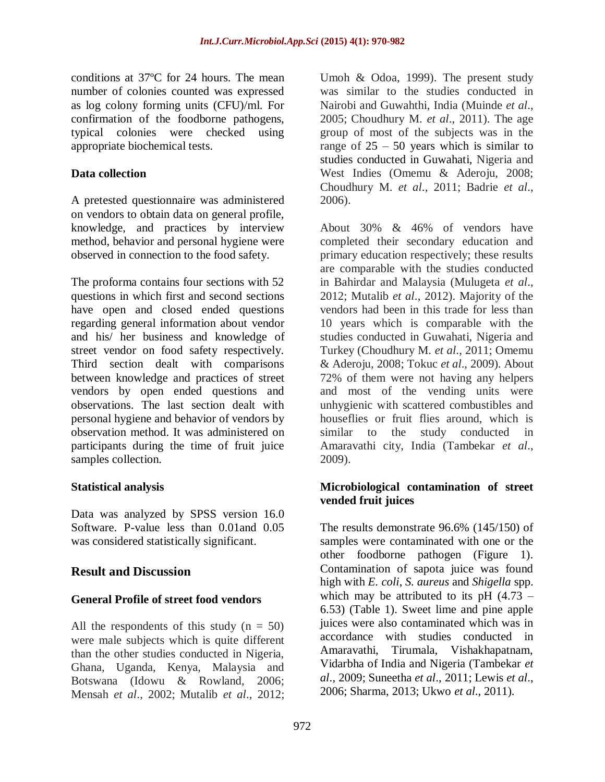conditions at 37ºC for 24 hours. The mean number of colonies counted was expressed as log colony forming units (CFU)/ml. For confirmation of the foodborne pathogens, typical colonies were checked using appropriate biochemical tests.

### **Data collection**

A pretested questionnaire was administered on vendors to obtain data on general profile, knowledge, and practices by interview method, behavior and personal hygiene were observed in connection to the food safety.

The proforma contains four sections with 52 questions in which first and second sections have open and closed ended questions regarding general information about vendor and his/ her business and knowledge of street vendor on food safety respectively. Third section dealt with comparisons between knowledge and practices of street vendors by open ended questions and observations. The last section dealt with personal hygiene and behavior of vendors by observation method. It was administered on participants during the time of fruit juice samples collection.

# **Statistical analysis**

Data was analyzed by SPSS version 16.0 Software. P-value less than 0.01and 0.05 was considered statistically significant.

# **Result and Discussion**

# **General Profile of street food vendors**

All the respondents of this study  $(n = 50)$ were male subjects which is quite different than the other studies conducted in Nigeria, Ghana, Uganda, Kenya, Malaysia and Botswana (Idowu & Rowland, 2006; Mensah *et al*., 2002; Mutalib *et al*., 2012;

Umoh & Odoa, 1999). The present study was similar to the studies conducted in Nairobi and Guwahthi, India (Muinde *et al*., 2005; Choudhury M. *et al*., 2011). The age group of most of the subjects was in the range of  $25 - 50$  years which is similar to studies conducted in Guwahati, Nigeria and West Indies (Omemu & Aderoju, 2008; Choudhury M. *et al*., 2011; Badrie *et al*., 2006).

About 30% & 46% of vendors have completed their secondary education and primary education respectively; these results are comparable with the studies conducted in Bahirdar and Malaysia (Mulugeta *et al*., 2012; Mutalib *et al*., 2012). Majority of the vendors had been in this trade for less than 10 years which is comparable with the studies conducted in Guwahati, Nigeria and Turkey (Choudhury M. *et al*., 2011; Omemu & Aderoju, 2008; Tokuc *et al*., 2009). About 72% of them were not having any helpers and most of the vending units were unhygienic with scattered combustibles and houseflies or fruit flies around, which is similar to the study conducted in Amaravathi city, India (Tambekar *et al*., 2009).

### **Microbiological contamination of street vended fruit juices**

The results demonstrate 96.6% (145/150) of samples were contaminated with one or the other foodborne pathogen (Figure 1). Contamination of sapota juice was found high with *E. coli*, *S. aureus* and *Shigella* spp. which may be attributed to its pH  $(4.73 -$ 6.53) (Table 1). Sweet lime and pine apple juices were also contaminated which was in accordance with studies conducted in Amaravathi, Tirumala, Vishakhapatnam, Vidarbha of India and Nigeria (Tambekar *et al*., 2009; Suneetha *et al*., 2011; Lewis *et al*., 2006; Sharma, 2013; Ukwo *et al*., 2011).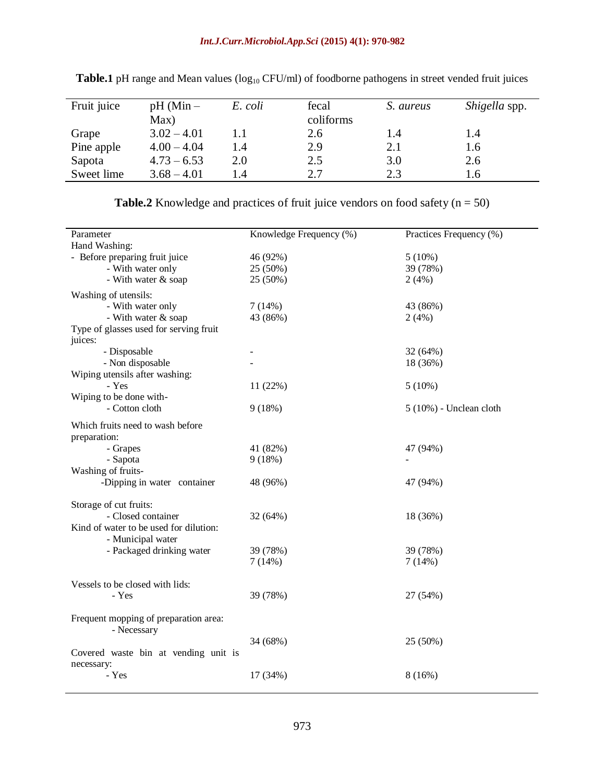### *Int.J.Curr.Microbiol.App.Sci* **(2015) 4(1): 970-982**

| Fruit juice | $pH$ (Min $-$<br>Max) | E. coli | fecal<br>coliforms | S. aureus | Shigella spp. |
|-------------|-----------------------|---------|--------------------|-----------|---------------|
| Grape       | $3.02 - 4.01$         |         | 2.6                | 1.4       | 1.4           |
| Pine apple  | $4.00 - 4.04$         | 1.4     | 2.9                | 2.1       | 1.6           |
| Sapota      | $4.73 - 6.53$         | 2.0     | 2.5                | 3.0       | 2.6           |
| Sweet lime  | $3.68 - 4.01$         | 1.4     | 2.7                | 2.3       | 1.6           |

Table.1 pH range and Mean values (log<sub>10</sub> CFU/ml) of foodborne pathogens in street vended fruit juices

| <b>Table.2</b> Knowledge and practices of fruit juice vendors on food safety ( $n = 50$ ) |  |  |  |
|-------------------------------------------------------------------------------------------|--|--|--|
|-------------------------------------------------------------------------------------------|--|--|--|

|          | Practices Frequency (%)                                                                                                                                                       |
|----------|-------------------------------------------------------------------------------------------------------------------------------------------------------------------------------|
|          |                                                                                                                                                                               |
|          | $5(10\%)$                                                                                                                                                                     |
|          | 39 (78%)                                                                                                                                                                      |
|          | 2(4%)                                                                                                                                                                         |
|          |                                                                                                                                                                               |
|          |                                                                                                                                                                               |
|          | 43 (86%)                                                                                                                                                                      |
|          | 2(4%)                                                                                                                                                                         |
|          |                                                                                                                                                                               |
|          |                                                                                                                                                                               |
|          | 32(64%)                                                                                                                                                                       |
|          | 18 (36%)                                                                                                                                                                      |
|          |                                                                                                                                                                               |
|          | 5(10%)                                                                                                                                                                        |
|          |                                                                                                                                                                               |
|          | $5(10\%)$ - Unclean cloth                                                                                                                                                     |
|          |                                                                                                                                                                               |
|          |                                                                                                                                                                               |
|          |                                                                                                                                                                               |
|          | 47 (94%)                                                                                                                                                                      |
|          |                                                                                                                                                                               |
|          |                                                                                                                                                                               |
|          | 47 (94%)                                                                                                                                                                      |
|          |                                                                                                                                                                               |
|          |                                                                                                                                                                               |
| 32 (64%) | 18 (36%)                                                                                                                                                                      |
|          |                                                                                                                                                                               |
|          |                                                                                                                                                                               |
| 39 (78%) | 39 (78%)                                                                                                                                                                      |
| 7(14%)   | 7(14%)                                                                                                                                                                        |
|          |                                                                                                                                                                               |
|          |                                                                                                                                                                               |
|          | 27 (54%)                                                                                                                                                                      |
|          |                                                                                                                                                                               |
|          |                                                                                                                                                                               |
|          |                                                                                                                                                                               |
|          | 25 (50%)                                                                                                                                                                      |
|          |                                                                                                                                                                               |
|          |                                                                                                                                                                               |
|          | 8(16%)                                                                                                                                                                        |
|          |                                                                                                                                                                               |
|          | Knowledge Frequency (%)<br>46 (92%)<br>25 (50%)<br>25 (50%)<br>7(14%)<br>43 (86%)<br>11 (22%)<br>9(18%)<br>41 (82%)<br>9(18%)<br>48 (96%)<br>39 (78%)<br>34 (68%)<br>17 (34%) |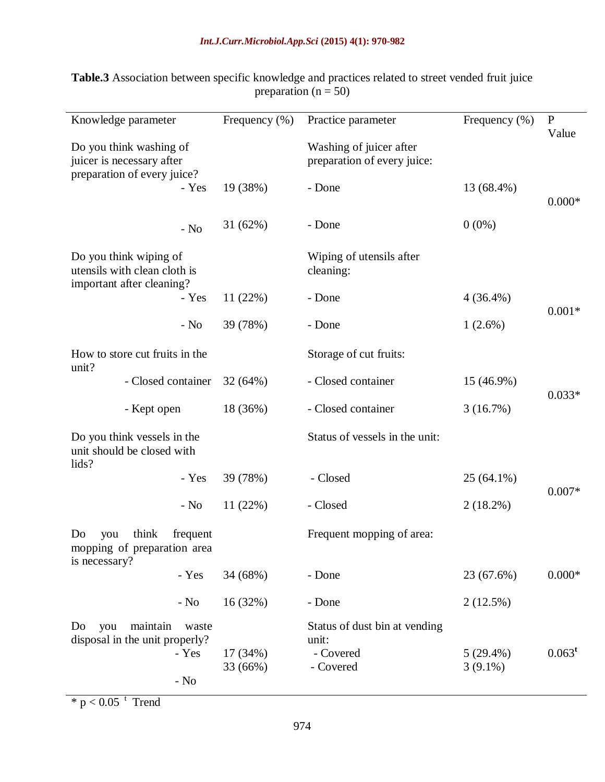#### *Int.J.Curr.Microbiol.App.Sci* **(2015) 4(1): 970-982**

| Knowledge parameter                                                                 |                 | Frequency (%) | Practice parameter                                     | Frequency $(\% )$ | $\mathbf{P}$ |  |
|-------------------------------------------------------------------------------------|-----------------|---------------|--------------------------------------------------------|-------------------|--------------|--|
| Do you think washing of<br>juicer is necessary after<br>preparation of every juice? |                 |               | Washing of juicer after<br>preparation of every juice: |                   | Value        |  |
|                                                                                     | - Yes           | 19 (38%)      | - Done                                                 | 13 (68.4%)        | $0.000*$     |  |
|                                                                                     | - $No$          | 31(62%)       | - Done                                                 | $0(0\%)$          |              |  |
| Do you think wiping of<br>utensils with clean cloth is<br>important after cleaning? |                 |               | Wiping of utensils after<br>cleaning:                  |                   |              |  |
|                                                                                     | - Yes           | 11(22%)       | - Done                                                 | $4(36.4\%)$       | $0.001*$     |  |
|                                                                                     | $-$ No          | 39 (78%)      | - Done                                                 | $1(2.6\%)$        |              |  |
| How to store cut fruits in the<br>unit?<br>- Closed container                       |                 |               | Storage of cut fruits:                                 |                   |              |  |
|                                                                                     |                 | 32(64%)       | - Closed container                                     | 15 (46.9%)        |              |  |
| - Kept open                                                                         |                 | 18 (36%)      | - Closed container                                     | 3(16.7%)          | $0.033*$     |  |
| Do you think vessels in the<br>unit should be closed with                           |                 |               | Status of vessels in the unit:                         |                   |              |  |
| lids?                                                                               | - Yes           | 39 (78%)      | - Closed                                               | 25 (64.1%)        | $0.007*$     |  |
|                                                                                     | $-$ No          | 11(22%)       | - Closed                                               | $2(18.2\%)$       |              |  |
| think<br>frequent<br>Do<br>you<br>mopping of preparation area                       |                 |               | Frequent mopping of area:                              |                   |              |  |
| is necessary?                                                                       | - Yes           | 34 (68%)      | - Done                                                 | 23 (67.6%)        | $0.000*$     |  |
|                                                                                     | $-$ No          | 16(32%)       | - Done                                                 | 2(12.5%)          |              |  |
| maintain<br>you<br>waste<br>Do<br>disposal in the unit properly?                    |                 | 17 (34%)      | Status of dust bin at vending<br>unit:<br>- Covered    | $5(29.4\%)$       | $0.063^t$    |  |
|                                                                                     | - Yes<br>$-$ No | 33 (66%)      | - Covered                                              | $3(9.1\%)$        |              |  |
|                                                                                     |                 |               |                                                        |                   |              |  |

**Table.3** Association between specific knowledge and practices related to street vended fruit juice preparation ( $n = 50$ )

 $*$  p < 0.05  $<sup>t</sup>$  Trend</sup>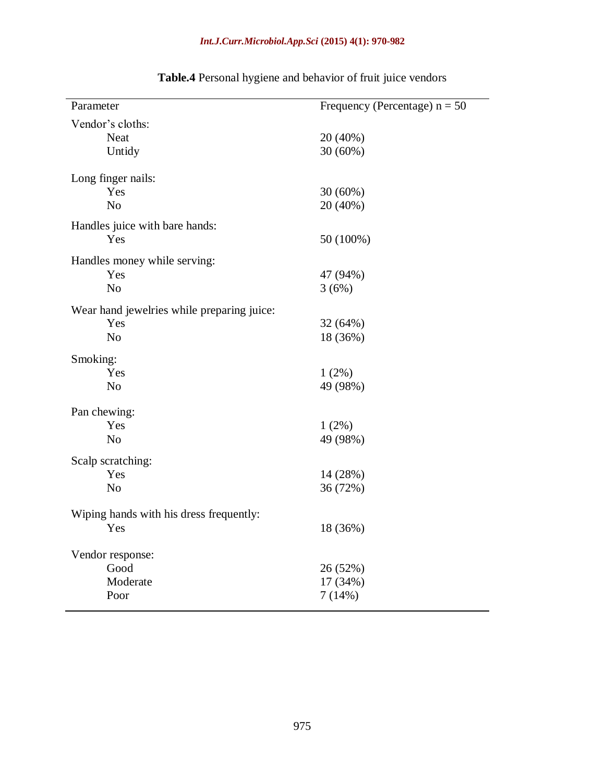### *Int.J.Curr.Microbiol.App.Sci* **(2015) 4(1): 970-982**

| Parameter                                  | Frequency (Percentage) $n = 50$ |  |  |  |
|--------------------------------------------|---------------------------------|--|--|--|
| Vendor's cloths:                           |                                 |  |  |  |
| <b>Neat</b>                                | 20 (40%)                        |  |  |  |
| Untidy                                     | 30 (60%)                        |  |  |  |
|                                            |                                 |  |  |  |
| Long finger nails:                         |                                 |  |  |  |
| Yes                                        | 30 (60%)                        |  |  |  |
| N <sub>o</sub>                             | 20 (40%)                        |  |  |  |
| Handles juice with bare hands:             |                                 |  |  |  |
| Yes                                        | 50 (100%)                       |  |  |  |
| Handles money while serving:               |                                 |  |  |  |
| Yes                                        | 47 (94%)                        |  |  |  |
| N <sub>o</sub>                             | 3(6%)                           |  |  |  |
| Wear hand jewelries while preparing juice: |                                 |  |  |  |
| Yes                                        | 32 (64%)                        |  |  |  |
| N <sub>o</sub>                             | 18 (36%)                        |  |  |  |
|                                            |                                 |  |  |  |
| Smoking:                                   |                                 |  |  |  |
| Yes                                        | $1(2\%)$                        |  |  |  |
| N <sub>o</sub>                             | 49 (98%)                        |  |  |  |
| Pan chewing:                               |                                 |  |  |  |
| Yes                                        | 1(2%)                           |  |  |  |
| N <sub>o</sub>                             | 49 (98%)                        |  |  |  |
| Scalp scratching:                          |                                 |  |  |  |
| Yes                                        | 14 (28%)                        |  |  |  |
| N <sub>o</sub>                             | 36 (72%)                        |  |  |  |
|                                            |                                 |  |  |  |
| Wiping hands with his dress frequently:    |                                 |  |  |  |
| Yes                                        | 18 (36%)                        |  |  |  |
|                                            |                                 |  |  |  |
| Vendor response:                           |                                 |  |  |  |
| Good                                       | 26 (52%)                        |  |  |  |
| Moderate                                   | 17 (34%)                        |  |  |  |
| Poor                                       | 7(14%)                          |  |  |  |
|                                            |                                 |  |  |  |

# **Table.4** Personal hygiene and behavior of fruit juice vendors

 $\overline{\phantom{0}}$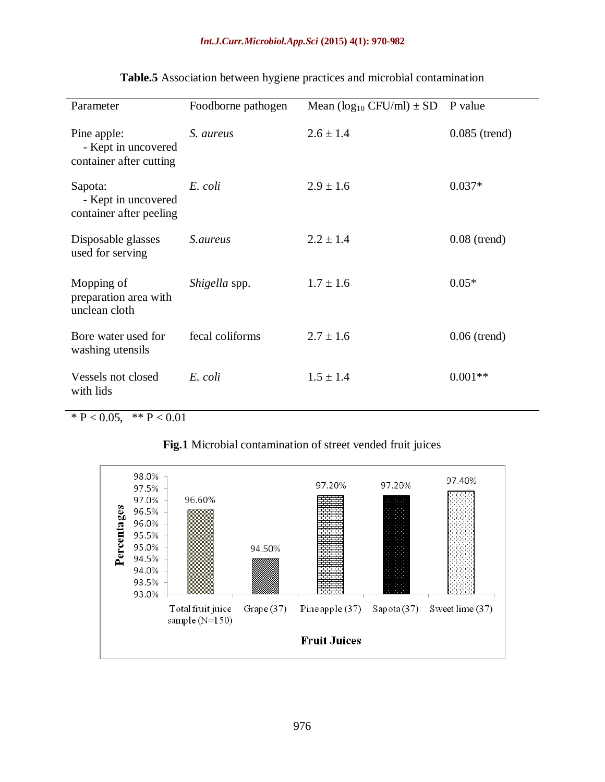| Parameter                                                     | Foodborne pathogen | Mean $(\log_{10} CFU/ml) \pm SD$ | P value         |
|---------------------------------------------------------------|--------------------|----------------------------------|-----------------|
| Pine apple:<br>- Kept in uncovered<br>container after cutting | S. aureus          | $2.6 \pm 1.4$                    | $0.085$ (trend) |
| Sapota:<br>- Kept in uncovered<br>container after peeling     | E. coli            | $2.9 \pm 1.6$                    | $0.037*$        |
| Disposable glasses<br>used for serving                        | <i>S.aureus</i>    | $2.2 \pm 1.4$                    | $0.08$ (trend)  |
| Mopping of<br>preparation area with<br>unclean cloth          | Shigella spp.      | $1.7 \pm 1.6$                    | $0.05*$         |
| Bore water used for<br>washing utensils                       | fecal coliforms    | $2.7 \pm 1.6$                    | $0.06$ (trend)  |
| Vessels not closed<br>with lids                               | E. coli            | $1.5 \pm 1.4$                    | $0.001**$       |

# **Table.5** Association between hygiene practices and microbial contamination

\*  $P < 0.05$ , \*\*  $P < 0.01$ 



#### **Fig.1** Microbial contamination of street vended fruit juices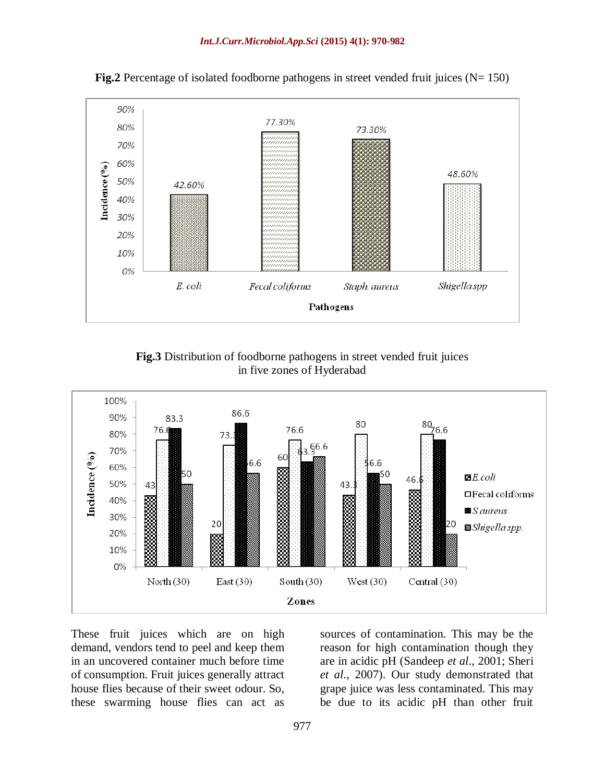

**Fig.2** Percentage of isolated foodborne pathogens in street vended fruit juices ( $N= 150$ )

**Fig.3** Distribution of foodborne pathogens in street vended fruit juices in five zones of Hyderabad



These fruit juices which are on high demand, vendors tend to peel and keep them in an uncovered container much before time of consumption. Fruit juices generally attract house flies because of their sweet odour. So, these swarming house flies can act as

sources of contamination. This may be the reason for high contamination though they are in acidic pH (Sandeep *et al*., 2001; Sheri *et al*., 2007). Our study demonstrated that grape juice was less contaminated. This may be due to its acidic pH than other fruit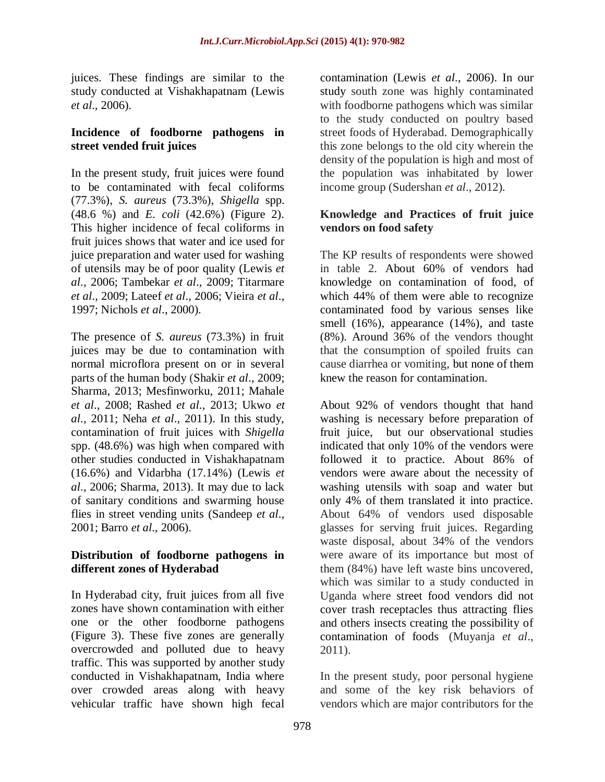juices. These findings are similar to the study conducted at Vishakhapatnam (Lewis *et al*., 2006).

#### **Incidence of foodborne pathogens in street vended fruit juices**

In the present study, fruit juices were found to be contaminated with fecal coliforms (77.3%), *S. aureus* (73.3%), *Shigella* spp. (48.6 %) and *E. coli* (42.6%) (Figure 2). This higher incidence of fecal coliforms in fruit juices shows that water and ice used for juice preparation and water used for washing of utensils may be of poor quality (Lewis *et al*., 2006; Tambekar *et al*., 2009; Titarmare *et al*., 2009; Lateef *et al*., 2006; Vieira *et al*., 1997; Nichols *et al*., 2000).

The presence of *S. aureus* (73.3%) in fruit juices may be due to contamination with normal microflora present on or in several parts of the human body (Shakir *et al*., 2009; Sharma, 2013; Mesfinworku, 2011; Mahale *et al*., 2008; Rashed *et al*., 2013; Ukwo *et al*., 2011; Neha *et al*., 2011). In this study, contamination of fruit juices with *Shigella* spp. (48.6%) was high when compared with other studies conducted in Vishakhapatnam (16.6%) and Vidarbha (17.14%) (Lewis *et al*., 2006; Sharma, 2013). It may due to lack of sanitary conditions and swarming house flies in street vending units (Sandeep *et al*., 2001; Barro *et al*., 2006).

### **Distribution of foodborne pathogens in different zones of Hyderabad**

In Hyderabad city, fruit juices from all five zones have shown contamination with either one or the other foodborne pathogens (Figure 3). These five zones are generally overcrowded and polluted due to heavy traffic. This was supported by another study conducted in Vishakhapatnam, India where over crowded areas along with heavy vehicular traffic have shown high fecal

contamination (Lewis *et al*., 2006). In our study south zone was highly contaminated with foodborne pathogens which was similar to the study conducted on poultry based street foods of Hyderabad. Demographically this zone belongs to the old city wherein the density of the population is high and most of the population was inhabitated by lower income group (Sudershan *et al*., 2012).

### **Knowledge and Practices of fruit juice vendors on food safety**

The KP results of respondents were showed in table 2. About 60% of vendors had knowledge on contamination of food, of which 44% of them were able to recognize contaminated food by various senses like smell (16%), appearance (14%), and taste (8%). Around 36% of the vendors thought that the consumption of spoiled fruits can cause diarrhea or vomiting, but none of them knew the reason for contamination.

About 92% of vendors thought that hand washing is necessary before preparation of fruit juice, but our observational studies indicated that only 10% of the vendors were followed it to practice. About 86% of vendors were aware about the necessity of washing utensils with soap and water but only 4% of them translated it into practice. About 64% of vendors used disposable glasses for serving fruit juices. Regarding waste disposal, about 34% of the vendors were aware of its importance but most of them (84%) have left waste bins uncovered, which was similar to a study conducted in Uganda where street food vendors did not cover trash receptacles thus attracting flies and others insects creating the possibility of contamination of foods (Muyanja *et al*., 2011).

In the present study, poor personal hygiene and some of the key risk behaviors of vendors which are major contributors for the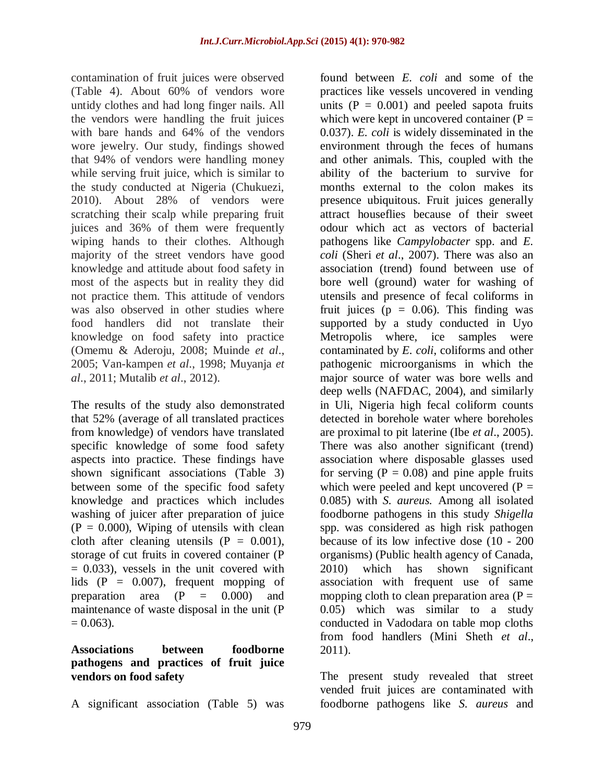contamination of fruit juices were observed (Table 4). About 60% of vendors wore untidy clothes and had long finger nails. All the vendors were handling the fruit juices with bare hands and 64% of the vendors wore jewelry. Our study, findings showed that 94% of vendors were handling money while serving fruit juice, which is similar to the study conducted at Nigeria (Chukuezi, 2010). About 28% of vendors were scratching their scalp while preparing fruit juices and 36% of them were frequently wiping hands to their clothes. Although majority of the street vendors have good knowledge and attitude about food safety in most of the aspects but in reality they did not practice them. This attitude of vendors was also observed in other studies where food handlers did not translate their knowledge on food safety into practice (Omemu & Aderoju, 2008; Muinde *et al*., 2005; Van-kampen *et al*., 1998; Muyanja *et al*., 2011; Mutalib *et al*., 2012).

The results of the study also demonstrated that 52% (average of all translated practices from knowledge) of vendors have translated specific knowledge of some food safety aspects into practice. These findings have shown significant associations (Table 3) between some of the specific food safety knowledge and practices which includes washing of juicer after preparation of juice  $(P = 0.000)$ , Wiping of utensils with clean cloth after cleaning utensils  $(P = 0.001)$ , storage of cut fruits in covered container (P  $= 0.033$ , vessels in the unit covered with lids  $(P = 0.007)$ , frequent mopping of preparation area  $(P = 0.000)$  and maintenance of waste disposal in the unit (P  $= 0.063$ ).

#### **Associations between foodborne pathogens and practices of fruit juice vendors on food safety**

A significant association (Table 5) was

found between *E. coli* and some of the practices like vessels uncovered in vending units  $(P = 0.001)$  and peeled sapota fruits which were kept in uncovered container  $(P =$ 0.037). *E. coli* is widely disseminated in the environment through the feces of humans and other animals. This, coupled with the ability of the bacterium to survive for months external to the colon makes its presence ubiquitous. Fruit juices generally attract houseflies because of their sweet odour which act as vectors of bacterial pathogens like *Campylobacter* spp. and *E. coli* (Sheri *et al*., 2007). There was also an association (trend) found between use of bore well (ground) water for washing of utensils and presence of fecal coliforms in fruit juices ( $p = 0.06$ ). This finding was supported by a study conducted in Uyo Metropolis where, ice samples were contaminated by *E. coli*, coliforms and other pathogenic microorganisms in which the major source of water was bore wells and deep wells (NAFDAC, 2004), and similarly in Uli, Nigeria high fecal coliform counts detected in borehole water where boreholes are proximal to pit laterine (Ibe *et al*., 2005). There was also another significant (trend) association where disposable glasses used for serving  $(P = 0.08)$  and pine apple fruits which were peeled and kept uncovered  $(P =$ 0.085) with *S. aureus.* Among all isolated foodborne pathogens in this study *Shigella* spp. was considered as high risk pathogen because of its low infective dose (10 - 200 organisms) (Public health agency of Canada, 2010) which has shown significant association with frequent use of same mopping cloth to clean preparation area  $(P =$ 0.05) which was similar to a study conducted in Vadodara on table mop cloths from food handlers (Mini Sheth *et al*., 2011).

The present study revealed that street vended fruit juices are contaminated with foodborne pathogens like *S. aureus* and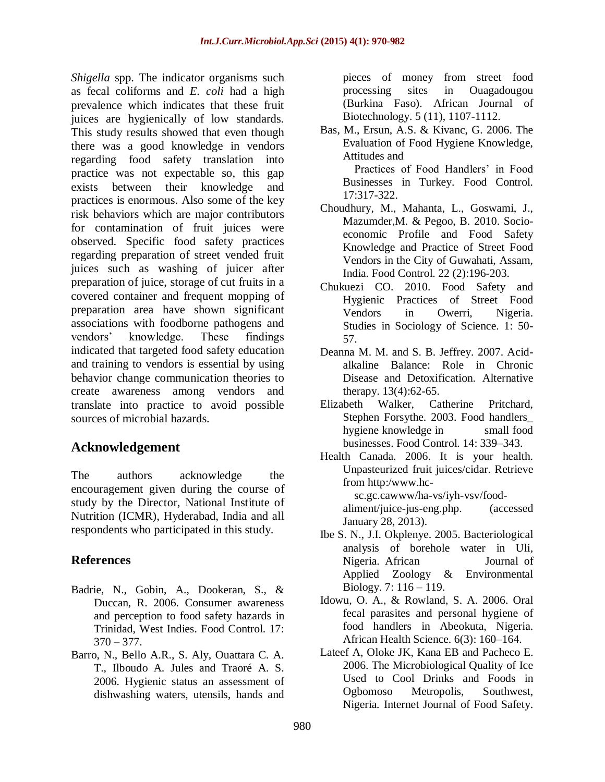*Shigella* spp. The indicator organisms such as fecal coliforms and *E. coli* had a high prevalence which indicates that these fruit juices are hygienically of low standards. This study results showed that even though there was a good knowledge in vendors regarding food safety translation into practice was not expectable so, this gap exists between their knowledge and practices is enormous. Also some of the key risk behaviors which are major contributors for contamination of fruit juices were observed. Specific food safety practices regarding preparation of street vended fruit juices such as washing of juicer after preparation of juice, storage of cut fruits in a covered container and frequent mopping of preparation area have shown significant associations with foodborne pathogens and vendors' knowledge. These findings indicated that targeted food safety education and training to vendors is essential by using behavior change communication theories to create awareness among vendors and translate into practice to avoid possible sources of microbial hazards.

# **Acknowledgement**

The authors acknowledge the encouragement given during the course of study by the Director, National Institute of Nutrition (ICMR), Hyderabad, India and all respondents who participated in this study.

# **References**

- Badrie, N., Gobin, A., Dookeran, S., & Duccan, R. 2006. Consumer awareness and perception to food safety hazards in Trinidad, West Indies. Food Control. 17:  $370 - 377.$
- Barro, N., Bello A.R., S. Aly, Ouattara C. A. T., Ilboudo A. Jules and Traoré A. S. 2006. Hygienic status an assessment of dishwashing waters, utensils, hands and

pieces of money from street food processing sites in Ouagadougou (Burkina Faso). African Journal of Biotechnology. 5 (11), 1107-1112.

Bas, M., Ersun, A.S. & Kivanc, G. 2006. The Evaluation of Food Hygiene Knowledge, Attitudes and

 Practices of Food Handlers' in Food Businesses in Turkey. Food Control*.*  17:317-322.

- Choudhury, M., Mahanta, L., Goswami, J., Mazumder,M. & Pegoo, B. 2010. Socioeconomic Profile and Food Safety Knowledge and Practice of Street Food Vendors in the City of Guwahati, Assam, India. Food Control. 22 (2):196-203.
- Chukuezi CO. 2010. Food Safety and Hygienic Practices of Street Food Vendors in Owerri, Nigeria. Studies in Sociology of Science. 1: 50- 57.
- Deanna M. M. and S. B. Jeffrey. 2007. Acidalkaline Balance: Role in Chronic Disease and Detoxification. Alternative therapy. 13(4):62-65.
- Elizabeth Walker, Catherine Pritchard, Stephen Forsythe. 2003. Food handlers\_ hygiene knowledge in small food businesses. Food Control. 14: 339–343.
- Health Canada. 2006. It is your health. Unpasteurized fruit juices/cidar. Retrieve from http:/www.hc sc.gc.cawww/ha-vs/iyh-vsv/food-

aliment/juice-jus-eng.php. (accessed January 28, 2013).

- Ibe S. N., J.I. Okplenye. 2005. Bacteriological analysis of borehole water in Uli, Nigeria. African Journal of Applied Zoology & Environmental Biology. 7: 116 – 119.
- Idowu, O. A., & Rowland, S. A. 2006. Oral fecal parasites and personal hygiene of food handlers in Abeokuta, Nigeria. African Health Science. 6(3): 160–164.
- Lateef A, Oloke JK, Kana EB and Pacheco E. 2006. The Microbiological Quality of Ice Used to Cool Drinks and Foods in Ogbomoso Metropolis, Southwest, Nigeria*.* Internet Journal of Food Safety.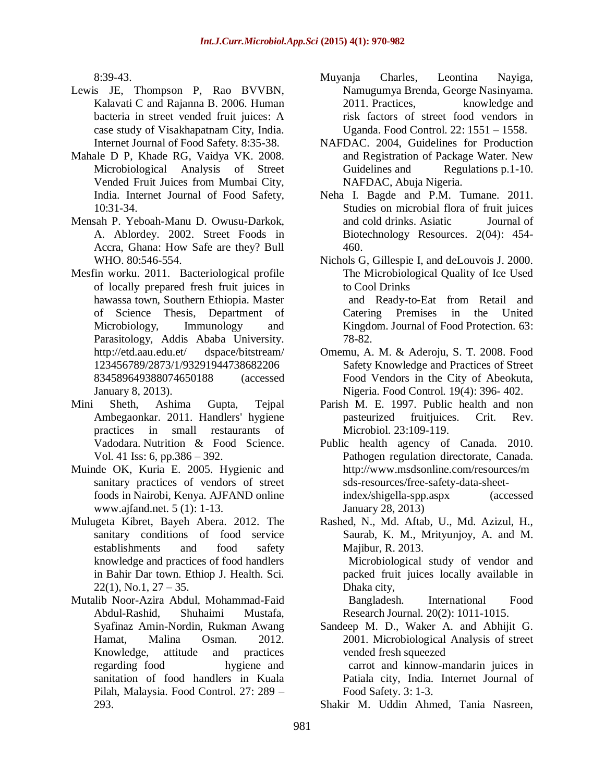8:39-43.

- Lewis JE, Thompson P, Rao BVVBN, Kalavati C and Rajanna B. 2006. Human bacteria in street vended fruit juices: A case study of Visakhapatnam City, India*.*  Internet Journal of Food Safety. 8:35-38.
- Mahale D P, Khade RG, Vaidya VK. 2008. Microbiological Analysis of Street Vended Fruit Juices from Mumbai City, India. Internet Journal of Food Safety, 10:31-34.
- Mensah P. Yeboah-Manu D. Owusu-Darkok, A. Ablordey. 2002. Street Foods in Accra, Ghana: How Safe are they? Bull WHO. 80:546-554.
- Mesfin worku. 2011. Bacteriological profile of locally prepared fresh fruit juices in hawassa town, Southern Ethiopia. Master of Science Thesis, Department of Microbiology, Immunology and Parasitology, Addis Ababa University. [http://etd.aau.edu.et/](http://etd.aau.edu.et/%20dspace/bitstream/%20123456789/2873/1/93291944738682206834589649388074650188) dspace/bitstream/ [123456789/2873/1/93291944738682206](http://etd.aau.edu.et/%20dspace/bitstream/%20123456789/2873/1/93291944738682206834589649388074650188) [834589649388074650188](http://etd.aau.edu.et/%20dspace/bitstream/%20123456789/2873/1/93291944738682206834589649388074650188) (accessed January 8, 2013).
- Mini Sheth, Ashima Gupta, Tejpal Ambegaonkar. 2011. Handlers' hygiene practices in small restaurants of Vadodara. Nutrition & Food Science. Vol. 41 Iss: 6, pp.386 – 392.
- Muinde OK, Kuria E. 2005. Hygienic and sanitary practices of vendors of street foods in Nairobi, Kenya. AJFAND online www.ajfand.net. 5 (1): 1-13.
- Mulugeta Kibret, Bayeh Abera. 2012. The sanitary conditions of food service establishments and food safety knowledge and practices of food handlers in Bahir Dar town. Ethiop J. Health. Sci.  $22(1)$ , No.1,  $27 - 35$ .
- Mutalib Noor-Azira Abdul, Mohammad-Faid Abdul-Rashid, Shuhaimi Mustafa, Syafinaz Amin-Nordin, Rukman Awang Hamat, Malina Osman. 2012. Knowledge, attitude and practices regarding food hygiene and sanitation of food handlers in Kuala Pilah, Malaysia. Food Control. 27: 289 – 293.
- Muyanja Charles, Leontina Nayiga, Namugumya Brenda, George Nasinyama. 2011. Practices, knowledge and risk factors of street food vendors in Uganda. Food Control. 22: 1551 – 1558.
- NAFDAC. 2004, Guidelines for Production and Registration of Package Water. New Guidelines and Regulations p.1-10. NAFDAC, Abuja Nigeria.
- Neha I. Bagde and P.M. Tumane. 2011. Studies on microbial flora of fruit juices and cold drinks. Asiatic Journal of Biotechnology Resources. 2(04): 454- 460.

Nichols G, Gillespie I, and deLouvois J. 2000. The Microbiological Quality of Ice Used to Cool Drinks and Ready-to-Eat from Retail and Catering Premises in the United Kingdom. Journal of Food Protection. 63: 78-82.

- Omemu, A. M. & Aderoju, S. T. 2008. Food Safety Knowledge and Practices of Street Food Vendors in the City of Abeokuta, Nigeria. Food Control*.* 19(4): 396- 402.
- Parish M. E. 1997. Public health and non pasteurized fruitjuices. Crit. Rev. Microbiol*.* 23:109-119.
- Public health agency of Canada. 2010. Pathogen regulation directorate, Canada. [http://www.msdsonline.com/resources/m](http://www.msdsonline.com/resources/msds-resources/free-safety-data-sheet-index/shigella-spp.aspx) [sds-resources/free-safety-data-sheet](http://www.msdsonline.com/resources/msds-resources/free-safety-data-sheet-index/shigella-spp.aspx)[index/shigella-spp.aspx](http://www.msdsonline.com/resources/msds-resources/free-safety-data-sheet-index/shigella-spp.aspx) (accessed January 28, 2013)

Rashed, N., Md. Aftab, U., Md. Azizul, H., Saurab, K. M., Mrityunjoy, A. and M. Majibur, R. 2013. Microbiological study of vendor and

packed fruit juices locally available in Dhaka city,

 Bangladesh. International Food Research Journal*.* 20(2): 1011-1015.

Sandeep M. D., Waker A. and Abhijit G. 2001. Microbiological Analysis of street vended fresh squeezed

 carrot and kinnow-mandarin juices in Patiala city, India. Internet Journal of Food Safety. 3: 1-3.

Shakir M. Uddin Ahmed, Tania Nasreen,